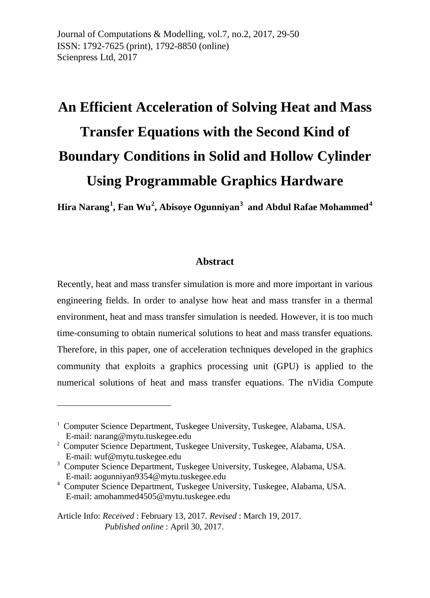Journal of Computations & Modelling*,* vol.7, no.2, 2017, 29-50 ISSN: 1792-7625 (print), 1792-8850 (online) Scienpress Ltd, 2017

# **An Efficient Acceleration of Solving Heat and Mass Transfer Equations with the Second Kind of Boundary Conditions in Solid and Hollow Cylinder Using Programmable Graphics Hardware**

**Hira Narang[1](#page-0-0) , Fan Wu[2](#page-0-1) , Abisoye Ogunniyan[3](#page-0-2) and Abdul Rafae Mohammed[4](#page-0-3)**

#### **Abstract**

Recently, heat and mass transfer simulation is more and more important in various engineering fields. In order to analyse how heat and mass transfer in a thermal environment, heat and mass transfer simulation is needed. However, it is too much time-consuming to obtain numerical solutions to heat and mass transfer equations. Therefore, in this paper, one of acceleration techniques developed in the graphics community that exploits a graphics processing unit (GPU) is applied to the numerical solutions of heat and mass transfer equations. The nVidia Compute

-

<span id="page-0-0"></span><sup>&</sup>lt;sup>1</sup> Computer Science Department, Tuskegee University, Tuskegee, Alabama, USA. E-mail: narang@mytu.tuskegee.edu

<span id="page-0-1"></span><sup>&</sup>lt;sup>2</sup> Computer Science Department, Tuskegee University, Tuskegee, Alabama, USA. E-mail: wuf@mytu.tuskegee.edu

<span id="page-0-2"></span><sup>&</sup>lt;sup>3</sup> Computer Science Department, Tuskegee University, Tuskegee, Alabama, USA. E-mail: aogunniyan9354@mytu.tuskegee.edu

<span id="page-0-3"></span><sup>4</sup> Computer Science Department, Tuskegee University, Tuskegee, Alabama, USA. E-mail: amohammed4505@mytu.tuskegee.edu

Article Info: *Received* : February 13, 2017*. Revised* : March 19, 2017. *Published online* : April 30, 2017.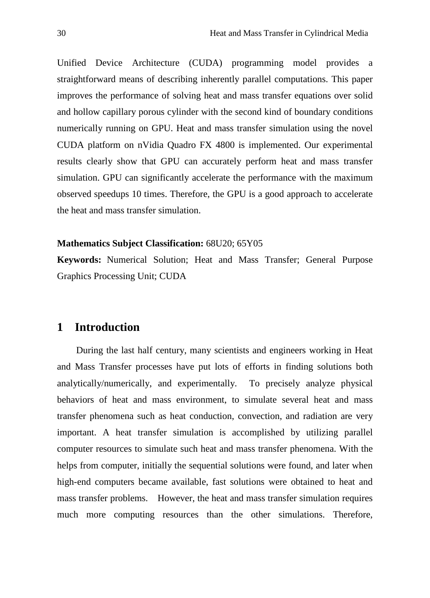Unified Device Architecture (CUDA) programming model provides a straightforward means of describing inherently parallel computations. This paper improves the performance of solving heat and mass transfer equations over solid and hollow capillary porous cylinder with the second kind of boundary conditions numerically running on GPU. Heat and mass transfer simulation using the novel CUDA platform on nVidia Quadro FX 4800 is implemented. Our experimental results clearly show that GPU can accurately perform heat and mass transfer simulation. GPU can significantly accelerate the performance with the maximum observed speedups 10 times. Therefore, the GPU is a good approach to accelerate the heat and mass transfer simulation.

#### **Mathematics Subject Classification:** 68U20; 65Y05

**Keywords:** Numerical Solution; Heat and Mass Transfer; General Purpose Graphics Processing Unit; CUDA

# **1 Introduction**

During the last half century, many scientists and engineers working in Heat and Mass Transfer processes have put lots of efforts in finding solutions both analytically/numerically, and experimentally. To precisely analyze physical behaviors of heat and mass environment, to simulate several heat and mass transfer phenomena such as heat conduction, convection, and radiation are very important. A heat transfer simulation is accomplished by utilizing parallel computer resources to simulate such heat and mass transfer phenomena. With the helps from computer, initially the sequential solutions were found, and later when high-end computers became available, fast solutions were obtained to heat and mass transfer problems. However, the heat and mass transfer simulation requires much more computing resources than the other simulations. Therefore,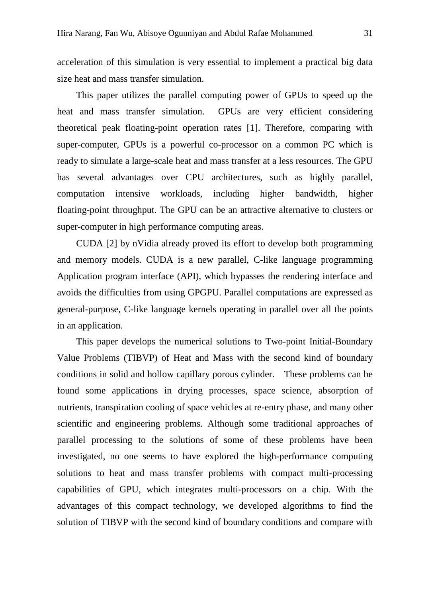acceleration of this simulation is very essential to implement a practical big data size heat and mass transfer simulation.

This paper utilizes the parallel computing power of GPUs to speed up the heat and mass transfer simulation. GPUs are very efficient considering theoretical peak floating-point operation rates [1]. Therefore, comparing with super-computer, GPUs is a powerful co-processor on a common PC which is ready to simulate a large-scale heat and mass transfer at a less resources. The GPU has several advantages over CPU architectures, such as highly parallel, computation intensive workloads, including higher bandwidth, higher floating-point throughput. The GPU can be an attractive alternative to clusters or super-computer in high performance computing areas.

CUDA [2] by nVidia already proved its effort to develop both programming and memory models. CUDA is a new parallel, C-like language programming Application program interface (API), which bypasses the rendering interface and avoids the difficulties from using GPGPU. Parallel computations are expressed as general-purpose, C-like language kernels operating in parallel over all the points in an application.

This paper develops the numerical solutions to Two-point Initial-Boundary Value Problems (TIBVP) of Heat and Mass with the second kind of boundary conditions in solid and hollow capillary porous cylinder. These problems can be found some applications in drying processes, space science, absorption of nutrients, transpiration cooling of space vehicles at re-entry phase, and many other scientific and engineering problems. Although some traditional approaches of parallel processing to the solutions of some of these problems have been investigated, no one seems to have explored the high-performance computing solutions to heat and mass transfer problems with compact multi-processing capabilities of GPU, which integrates multi-processors on a chip. With the advantages of this compact technology, we developed algorithms to find the solution of TIBVP with the second kind of boundary conditions and compare with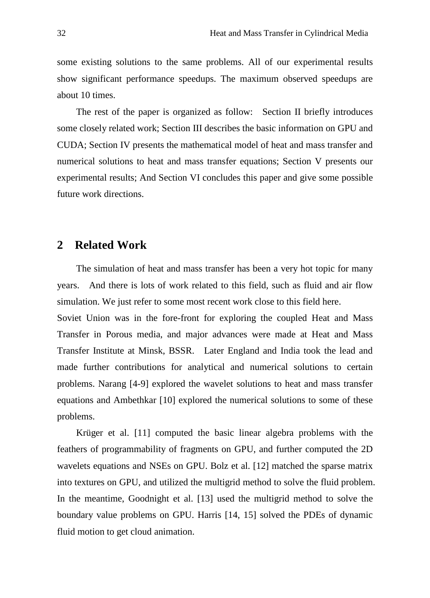some existing solutions to the same problems. All of our experimental results show significant performance speedups. The maximum observed speedups are about 10 times.

The rest of the paper is organized as follow: Section II briefly introduces some closely related work; Section III describes the basic information on GPU and CUDA; Section IV presents the mathematical model of heat and mass transfer and numerical solutions to heat and mass transfer equations; Section V presents our experimental results; And Section VI concludes this paper and give some possible future work directions.

#### **2 Related Work**

The simulation of heat and mass transfer has been a very hot topic for many years. And there is lots of work related to this field, such as fluid and air flow simulation. We just refer to some most recent work close to this field here.

Soviet Union was in the fore-front for exploring the coupled Heat and Mass Transfer in Porous media, and major advances were made at Heat and Mass Transfer Institute at Minsk, BSSR. Later England and India took the lead and made further contributions for analytical and numerical solutions to certain problems. Narang [4-9] explored the wavelet solutions to heat and mass transfer equations and Ambethkar [10] explored the numerical solutions to some of these problems.

Krüger et al. [11] computed the basic linear algebra problems with the feathers of programmability of fragments on GPU, and further computed the 2D wavelets equations and NSEs on GPU. Bolz et al. [12] matched the sparse matrix into textures on GPU, and utilized the multigrid method to solve the fluid problem. In the meantime, Goodnight et al. [13] used the multigrid method to solve the boundary value problems on GPU. Harris [14, 15] solved the PDEs of dynamic fluid motion to get cloud animation.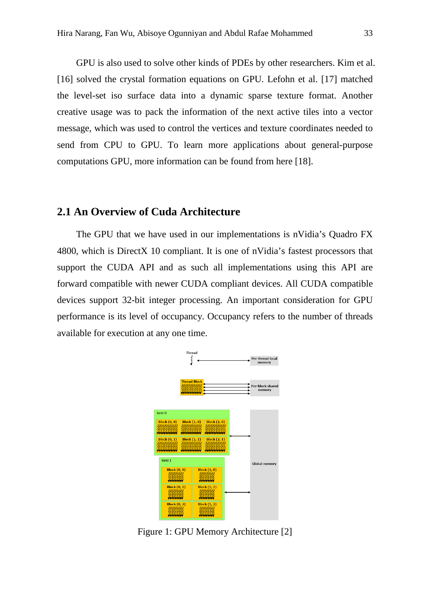GPU is also used to solve other kinds of PDEs by other researchers. Kim et al. [16] solved the crystal formation equations on GPU. Lefohn et al. [17] matched the level-set iso surface data into a dynamic sparse texture format. Another creative usage was to pack the information of the next active tiles into a vector message, which was used to control the vertices and texture coordinates needed to send from CPU to GPU. To learn more applications about general-purpose computations GPU, more information can be found from here [18].

#### **2.1 An Overview of Cuda Architecture**

The GPU that we have used in our implementations is nVidia's Quadro FX 4800, which is DirectX 10 compliant. It is one of nVidia's fastest processors that support the CUDA API and as such all implementations using this API are forward compatible with newer CUDA compliant devices. All CUDA compatible devices support 32-bit integer processing. An important consideration for GPU performance is its level of occupancy. Occupancy refers to the number of threads available for execution at any one time.



Figure 1: GPU Memory Architecture [2]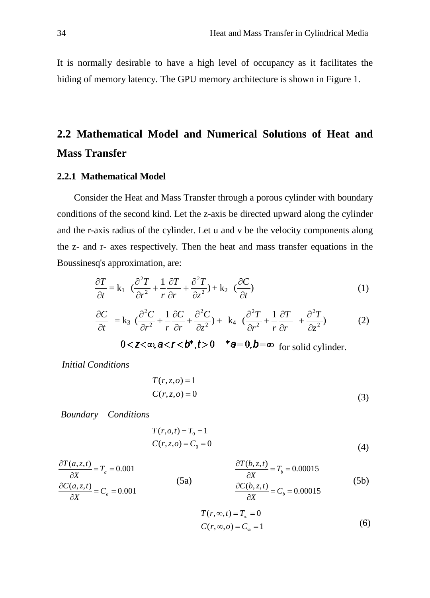It is normally desirable to have a high level of occupancy as it facilitates the hiding of memory latency. The GPU memory architecture is shown in Figure 1.

# **2.2 Mathematical Model and Numerical Solutions of Heat and Mass Transfer**

#### **2.2.1 Mathematical Model**

Consider the Heat and Mass Transfer through a porous cylinder with boundary conditions of the second kind. Let the z-axis be directed upward along the cylinder and the r-axis radius of the cylinder. Let u and v be the velocity components along the z- and r- axes respectively. Then the heat and mass transfer equations in the Boussinesq's approximation, are:

$$
\frac{\partial T}{\partial t} = \mathbf{k}_1 \left( \frac{\partial^2 T}{\partial r^2} + \frac{1}{r} \frac{\partial T}{\partial r} + \frac{\partial^2 T}{\partial z^2} \right) + \mathbf{k}_2 \left( \frac{\partial C}{\partial t} \right) \tag{1}
$$

$$
\frac{\partial C}{\partial t} = \mathbf{k}_3 \left( \frac{\partial^2 C}{\partial r^2} + \frac{1}{r} \frac{\partial C}{\partial r} + \frac{\partial^2 C}{\partial z^2} \right) + \mathbf{k}_4 \left( \frac{\partial^2 T}{\partial r^2} + \frac{1}{r} \frac{\partial T}{\partial r} + \frac{\partial^2 T}{\partial z^2} \right) \tag{2}
$$

 $0 < z < \infty$ ,  $a < r < b^*$ ,  $t > 0$   $*_a = 0$ ,  $b = \infty$  for solid cylinder.

*Initial Conditions* 

$$
T(r, z, o) = 1
$$
  
\n
$$
C(r, z, o) = 0
$$
\n(3)

*Boundary Conditions*

$$
T(r, o, t) = T_0 = 1
$$
  
\n
$$
C(r, z, o) = C_0 = 0
$$
\n(4)

$$
\frac{\partial T(a,z,t)}{\partial X} = T_a = 0.001
$$
\n
$$
\frac{\partial T(b,z,t)}{\partial X} = T_b = 0.00015
$$
\n(5a)\n
$$
\frac{\partial C(b,z,t)}{\partial X} = T_b = 0.00015
$$
\n(5b)\n
$$
\frac{\partial C(b,z,t)}{\partial X} = C_b = 0.00015
$$

$$
T(r, \infty, t) = T_{\infty} = 0
$$
  
\n
$$
C(r, \infty, o) = C_{\infty} = 1
$$
\n(6)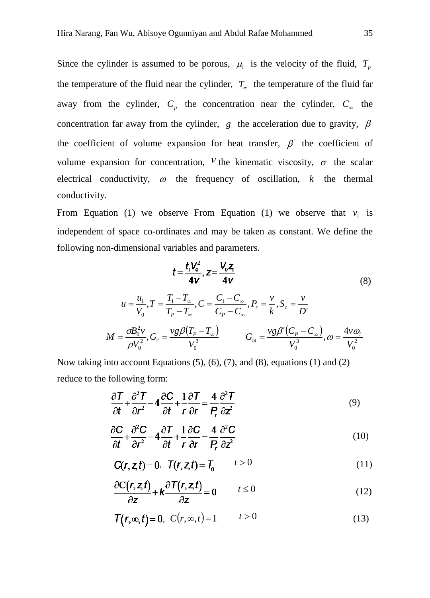Since the cylinder is assumed to be porous,  $\mu_1$  is the velocity of the fluid,  $T_p$ the temperature of the fluid near the cylinder, *T*<sup>∞</sup> the temperature of the fluid far away from the cylinder,  $C_p$  the concentration near the cylinder,  $C_\infty$  the concentration far away from the cylinder,  $g$  the acceleration due to gravity,  $\beta$ the coefficient of volume expansion for heat transfer,  $\beta$  the coefficient of volume expansion for concentration,  $V$  the kinematic viscosity,  $\sigma$  the scalar electrical conductivity,  $\omega$  the frequency of oscillation,  $k$  the thermal conductivity.

From Equation (1) we observe From Equation (1) we observe that  $v_1$  is independent of space co-ordinates and may be taken as constant. We define the following non-dimensional variables and parameters.

$$
t = \frac{t_1 V_0^2}{4v}, z = \frac{V_0 Z_1}{4v}
$$
(8)  

$$
u = \frac{u_1}{V_0}, T = \frac{T_1 - T_\infty}{T_p - T_\infty}, C = \frac{C_1 - C_\infty}{C_p - C_\infty}, P_r = \frac{v}{k}, S_c = \frac{v}{D'}
$$
  

$$
M = \frac{\sigma B_0^2 v}{\rho V_0^2}, G_r = \frac{v g \beta (T_p - T_\infty)}{V_0^3}
$$

$$
G_m = \frac{v g \beta (C_p - C_\infty)}{V_0^3}, \omega = \frac{4 v \omega_i}{V_0^2}
$$

Now taking into account Equations (5), (6), (7), and (8), equations (1) and (2) reduce to the following form:

$$
\frac{\partial T}{\partial t} + \frac{\partial^2 T}{\partial r^2} - 4 \frac{\partial C}{\partial t} + \frac{1}{r} \frac{\partial T}{\partial r} = \frac{4}{P_r} \frac{\partial^2 T}{\partial z^2}
$$
(9)

$$
\frac{\partial \mathbf{C}}{\partial t} + \frac{\partial^2 \mathbf{C}}{\partial r^2} - 4 \frac{\partial \mathbf{T}}{\partial t} + \frac{1}{r} \frac{\partial \mathbf{C}}{\partial r} = \frac{4}{P_r} \frac{\partial^2 \mathbf{C}}{\partial z^2}
$$
(10)

$$
C(r, z, t) = 0, \quad T(r, z, t) = T_0 \qquad t > 0 \tag{11}
$$

$$
\frac{\partial C(r, z, t)}{\partial z} + k \frac{\partial T(r, z, t)}{\partial z} = 0 \qquad t \le 0 \tag{12}
$$

$$
\mathcal{T}(r,\infty,t)=0,\ \ C(r,\infty,t)=1\qquad \qquad t>0\tag{13}
$$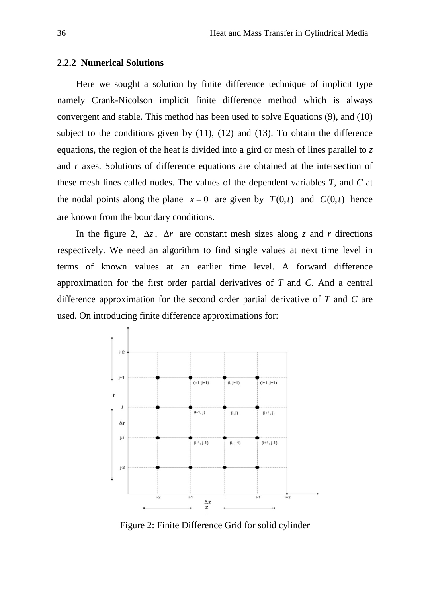#### **2.2.2 Numerical Solutions**

Here we sought a solution by finite difference technique of implicit type namely Crank-Nicolson implicit finite difference method which is always convergent and stable. This method has been used to solve Equations (9), and (10) subject to the conditions given by  $(11)$ ,  $(12)$  and  $(13)$ . To obtain the difference equations, the region of the heat is divided into a gird or mesh of lines parallel to *z*  and *r* axes. Solutions of difference equations are obtained at the intersection of these mesh lines called nodes. The values of the dependent variables *T*, and *C* at the nodal points along the plane  $x = 0$  are given by  $T(0,t)$  and  $C(0,t)$  hence are known from the boundary conditions.

In the figure 2,  $\Delta z$ ,  $\Delta r$  are constant mesh sizes along *z* and *r* directions respectively. We need an algorithm to find single values at next time level in terms of known values at an earlier time level. A forward difference approximation for the first order partial derivatives of *T* and *C*. And a central difference approximation for the second order partial derivative of *T* and *C* are used. On introducing finite difference approximations for:



Figure 2: Finite Difference Grid for solid cylinder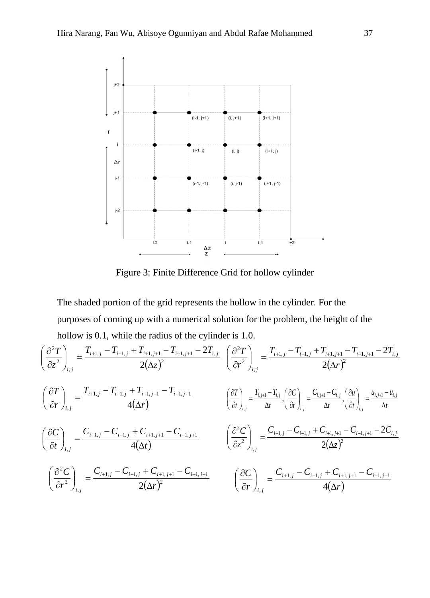

Figure 3: Finite Difference Grid for hollow cylinder

The shaded portion of the grid represents the hollow in the cylinder. For the purposes of coming up with a numerical solution for the problem, the height of the hollow is 0.1, while the radius of the cylinder is 1.0.

$$
\begin{split}\n\left(\frac{\partial^{2}T}{\partial z^{2}}\right)_{i,j} &= \frac{T_{i+1,j} - T_{i-1,j} + T_{i+1,j+1} - T_{i-1,j+1} - 2T_{i,j}}{2(\Delta z)^{2}} \\
\left(\frac{\partial T}{\partial r}\right)_{i,j} &= \frac{T_{i+1,j} - T_{i-1,j} + T_{i+1,j+1} - T_{i-1,j+1}}{4(\Delta r)} \\
\left(\frac{\partial T}{\partial r}\right)_{i,j} &= \frac{T_{i+1,j} - T_{i-1,j} + T_{i+1,j+1} - T_{i-1,j+1}}{4(\Delta r)} \\
\left(\frac{\partial T}{\partial t}\right)_{i,j} &= \frac{C_{i+1,j} - C_{i-1,j} + C_{i+1,j+1} - C_{i-1,j+1}}{4(\Delta t)} \\
\left(\frac{\partial C}{\partial t}\right)_{i,j} &= \frac{C_{i+1,j} - C_{i-1,j} + C_{i+1,j+1} - C_{i-1,j+1}}{4(\Delta t)} \\
\left(\frac{\partial^{2}C}{\partial z^{2}}\right)_{i,j} &= \frac{C_{i+1,j} - C_{i-1,j} + C_{i+1,j+1} - C_{i-1,j+1}}{2(\Delta z)^{2}} \\
\left(\frac{\partial^{2}C}{\partial r^{2}}\right)_{i,j} &= \frac{C_{i+1,j} - C_{i-1,j} + C_{i+1,j+1} - C_{i-1,j+1}}{2(\Delta r)^{2}} \\
\left(\frac{\partial C}{\partial r}\right)_{i,j} &= \frac{C_{i+1,j} - C_{i-1,j} + C_{i+1,j+1} - C_{i-1,j+1}}{4(\Delta r)} \\
\left(\frac{\partial C}{\partial r}\right)_{i,j} &= \frac{C_{i+1,j} - C_{i-1,j} + C_{i+1,j+1} - C_{i-1,j+1}}{4(\Delta r)}\n\end{split}
$$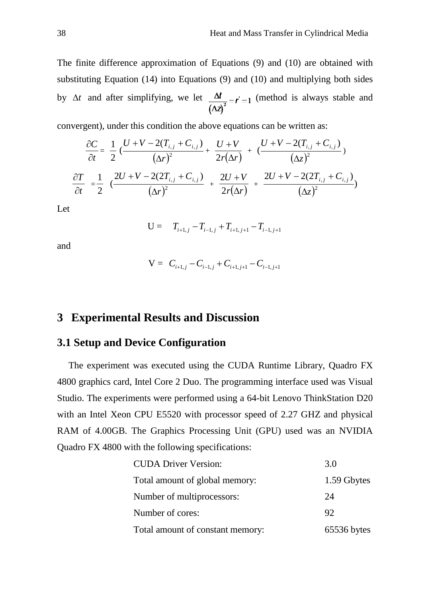The finite difference approximation of Equations (9) and (10) are obtained with substituting Equation (14) into Equations (9) and (10) and multiplying both sides by  $\Delta t$  and after simplifying, we let  $\frac{\Delta t}{(\Delta z)^2} = r = 1$  (method is always stable and

convergent), under this condition the above equations can be written as:

$$
\frac{\partial C}{\partial t} = \frac{1}{2} \frac{(U + V - 2(T_{i,j} + C_{i,j})}{(\Delta r)^2} + \frac{U + V}{2r(\Delta r)} + \frac{(U + V - 2(T_{i,j} + C_{i,j})}{(\Delta z)^2})
$$

$$
\frac{\partial T}{\partial t} = \frac{1}{2} \frac{2U + V - 2(2T_{i,j} + C_{i,j})}{(\Delta r)^2} + \frac{2U + V}{2r(\Delta r)} + \frac{2U + V - 2(2T_{i,j} + C_{i,j})}{(\Delta z)^2})
$$

Let

$$
U = T_{i+1,j} - T_{i-1,j} + T_{i+1,j+1} - T_{i-1,j+1}
$$

and

$$
V = C_{i+1,j} - C_{i-1,j} + C_{i+1,j+1} - C_{i-1,j+1}
$$

### **3 Experimental Results and Discussion**

#### **3.1 Setup and Device Configuration**

The experiment was executed using the CUDA Runtime Library, Quadro FX 4800 graphics card, Intel Core 2 Duo. The programming interface used was Visual Studio. The experiments were performed using a 64-bit Lenovo ThinkStation D20 with an Intel Xeon CPU E5520 with processor speed of 2.27 GHZ and physical RAM of 4.00GB. The Graphics Processing Unit (GPU) used was an NVIDIA Quadro FX 4800 with the following specifications:

| <b>CUDA Driver Version:</b>      | 3.0         |
|----------------------------------|-------------|
| Total amount of global memory:   | 1.59 Gbytes |
| Number of multiprocessors:       | 24          |
| Number of cores:                 | 92          |
| Total amount of constant memory: | 65536 bytes |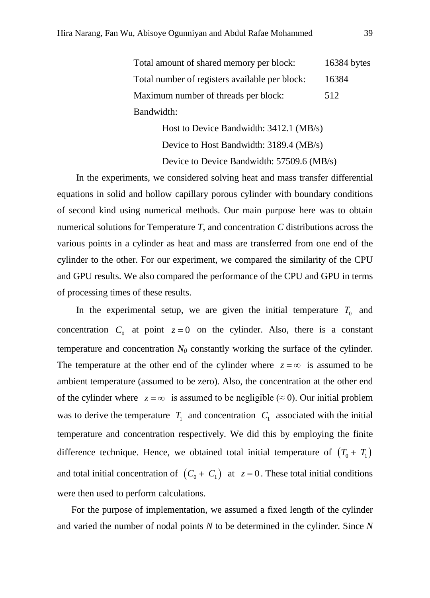Total amount of shared memory per block: 16384 bytes Total number of registers available per block: 16384 Maximum number of threads per block: 512 Bandwidth:

> Host to Device Bandwidth: 3412.1 (MB/s) Device to Host Bandwidth: 3189.4 (MB/s) Device to Device Bandwidth: 57509.6 (MB/s)

In the experiments, we considered solving heat and mass transfer differential equations in solid and hollow capillary porous cylinder with boundary conditions of second kind using numerical methods. Our main purpose here was to obtain numerical solutions for Temperature *T*, and concentration *C* distributions across the various points in a cylinder as heat and mass are transferred from one end of the cylinder to the other. For our experiment, we compared the similarity of the CPU and GPU results. We also compared the performance of the CPU and GPU in terms of processing times of these results.

In the experimental setup, we are given the initial temperature  $T_0$  and concentration  $C_0$  at point  $z = 0$  on the cylinder. Also, there is a constant temperature and concentration  $N_0$  constantly working the surface of the cylinder. The temperature at the other end of the cylinder where  $z = \infty$  is assumed to be ambient temperature (assumed to be zero). Also, the concentration at the other end of the cylinder where  $z = \infty$  is assumed to be negligible ( $\approx$  0). Our initial problem was to derive the temperature  $T_1$  and concentration  $C_1$  associated with the initial temperature and concentration respectively. We did this by employing the finite difference technique. Hence, we obtained total initial temperature of  $(T_0 + T_1)$ and total initial concentration of  $(C_0 + C_1)$  at  $z = 0$ . These total initial conditions were then used to perform calculations.

For the purpose of implementation, we assumed a fixed length of the cylinder and varied the number of nodal points *N* to be determined in the cylinder. Since *N*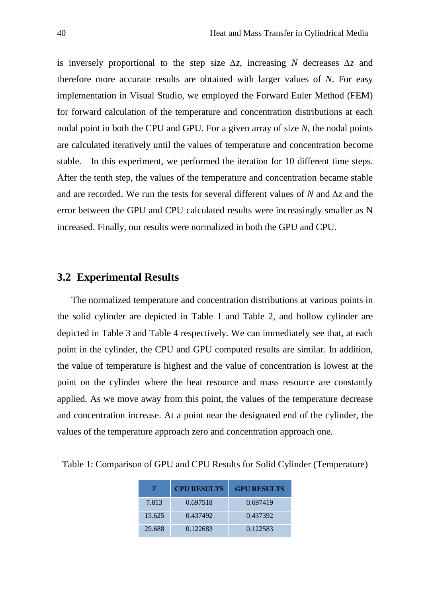is inversely proportional to the step size  $\Delta z$ , increasing *N* decreases  $\Delta z$  and therefore more accurate results are obtained with larger values of *N*. For easy implementation in Visual Studio, we employed the Forward Euler Method (FEM) for forward calculation of the temperature and concentration distributions at each nodal point in both the CPU and GPU. For a given array of size *N*, the nodal points are calculated iteratively until the values of temperature and concentration become stable. In this experiment, we performed the iteration for 10 different time steps. After the tenth step, the values of the temperature and concentration became stable and are recorded. We run the tests for several different values of *N* and *∆z* and the error between the GPU and CPU calculated results were increasingly smaller as N increased. Finally, our results were normalized in both the GPU and CPU.

#### **3.2 Experimental Results**

The normalized temperature and concentration distributions at various points in the solid cylinder are depicted in Table 1 and Table 2, and hollow cylinder are depicted in Table 3 and Table 4 respectively. We can immediately see that, at each point in the cylinder, the CPU and GPU computed results are similar. In addition, the value of temperature is highest and the value of concentration is lowest at the point on the cylinder where the heat resource and mass resource are constantly applied. As we move away from this point, the values of the temperature decrease and concentration increase. At a point near the designated end of the cylinder, the values of the temperature approach zero and concentration approach one.

| Z.     | <b>CPU RESULTS</b> | <b>GPU RESULTS</b> |
|--------|--------------------|--------------------|
| 7.813  | 0.697518           | 0.697419           |
| 15.625 | 0.437492           | 0.437392           |
| 29.688 | 0.122683           | 0.122583           |

Table 1: Comparison of GPU and CPU Results for Solid Cylinder (Temperature)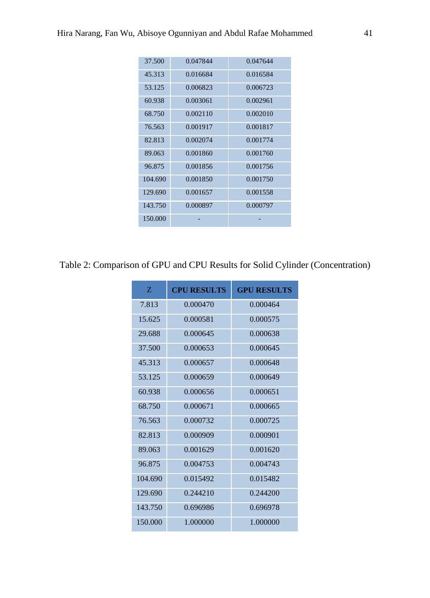| 37.500  | 0.047844 | 0.047644 |
|---------|----------|----------|
| 45.313  | 0.016684 | 0.016584 |
| 53.125  | 0.006823 | 0.006723 |
| 60.938  | 0.003061 | 0.002961 |
| 68.750  | 0.002110 | 0.002010 |
| 76.563  | 0.001917 | 0.001817 |
| 82.813  | 0.002074 | 0.001774 |
| 89.063  | 0.001860 | 0.001760 |
| 96.875  | 0.001856 | 0.001756 |
| 104.690 | 0.001850 | 0.001750 |
| 129.690 | 0.001657 | 0.001558 |
| 143.750 | 0.000897 | 0.000797 |
| 150,000 |          |          |
|         |          |          |

# Table 2: Comparison of GPU and CPU Results for Solid Cylinder (Concentration)

| Z       | <b>CPU RESULTS</b> | <b>GPU RESULTS</b> |
|---------|--------------------|--------------------|
| 7.813   | 0.000470           | 0.000464           |
| 15.625  | 0.000581           | 0.000575           |
| 29.688  | 0.000645           | 0.000638           |
| 37.500  | 0.000653           | 0.000645           |
| 45.313  | 0.000657           | 0.000648           |
| 53.125  | 0.000659           | 0.000649           |
| 60.938  | 0.000656           | 0.000651           |
| 68.750  | 0.000671           | 0.000665           |
| 76.563  | 0.000732           | 0.000725           |
| 82.813  | 0.000909           | 0.000901           |
| 89.063  | 0.001629           | 0.001620           |
| 96.875  | 0.004753           | 0.004743           |
| 104.690 | 0.015492           | 0.015482           |
| 129.690 | 0.244210           | 0.244200           |
| 143.750 | 0.696986           | 0.696978           |
| 150,000 | 1.000000           | 1.000000           |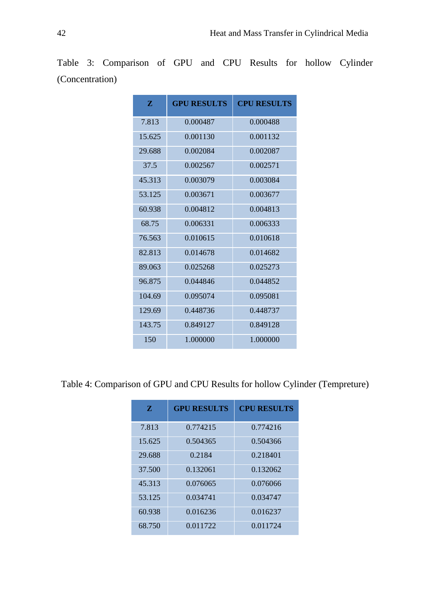| Z      | <b>GPU RESULTS</b> | <b>CPU RESULTS</b> |
|--------|--------------------|--------------------|
| 7.813  | 0.000487           | 0.000488           |
| 15.625 | 0.001130           | 0.001132           |
| 29.688 | 0.002084           | 0.002087           |
| 37.5   | 0.002567           | 0.002571           |
| 45.313 | 0.003079           | 0.003084           |
| 53.125 | 0.003671           | 0.003677           |
| 60.938 | 0.004812           | 0.004813           |
| 68.75  | 0.006331           | 0.006333           |
| 76.563 | 0.010615           | 0.010618           |
| 82.813 | 0.014678           | 0.014682           |
| 89.063 | 0.025268           | 0.025273           |
| 96.875 | 0.044846           | 0.044852           |
| 104.69 | 0.095074           | 0.095081           |
| 129.69 | 0.448736           | 0.448737           |
| 143.75 | 0.849127           | 0.849128           |
| 150    | 1.000000           | 1.000000           |

Table 3: Comparison of GPU and CPU Results for hollow Cylinder (Concentration)

Table 4: Comparison of GPU and CPU Results for hollow Cylinder (Tempreture)

| Z      | <b>GPU RESULTS</b> | <b>CPU RESULTS</b> |
|--------|--------------------|--------------------|
| 7.813  | 0.774215           | 0.774216           |
| 15.625 | 0.504365           | 0.504366           |
| 29.688 | 0.2184             | 0.218401           |
| 37.500 | 0.132061           | 0.132062           |
| 45.313 | 0.076065           | 0.076066           |
| 53.125 | 0.034741           | 0.034747           |
| 60.938 | 0.016236           | 0.016237           |
| 68.750 | 0.011722           | 0.011724           |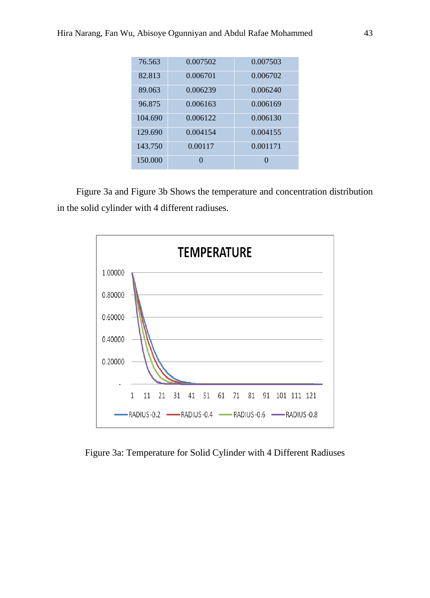| 76.563  | 0.007502 | 0.007503         |
|---------|----------|------------------|
| 82.813  | 0.006701 | 0.006702         |
| 89.063  | 0.006239 | 0.006240         |
| 96.875  | 0.006163 | 0.006169         |
| 104.690 | 0.006122 | 0.006130         |
| 129.690 | 0.004154 | 0.004155         |
| 143.750 | 0.00117  | 0.001171         |
| 150,000 | 0        | $\left( \right)$ |

Figure 3a and Figure 3b Shows the temperature and concentration distribution in the solid cylinder with 4 different radiuses.



Figure 3a: Temperature for Solid Cylinder with 4 Different Radiuses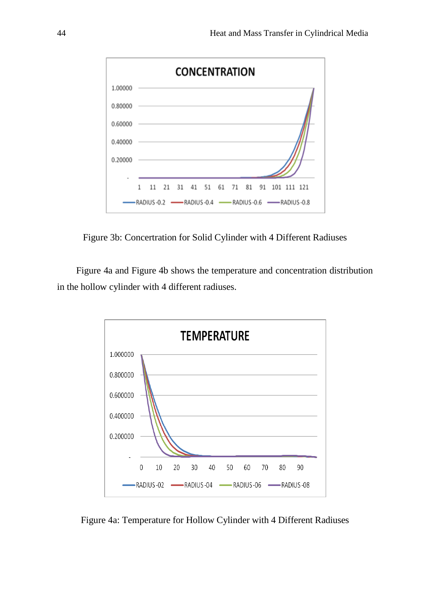

Figure 3b: Concertration for Solid Cylinder with 4 Different Radiuses

Figure 4a and Figure 4b shows the temperature and concentration distribution in the hollow cylinder with 4 different radiuses.



Figure 4a: Temperature for Hollow Cylinder with 4 Different Radiuses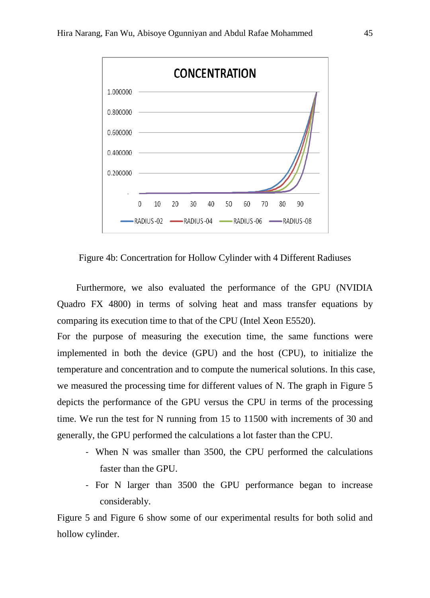

Figure 4b: Concertration for Hollow Cylinder with 4 Different Radiuses

Furthermore, we also evaluated the performance of the GPU (NVIDIA Quadro FX 4800) in terms of solving heat and mass transfer equations by comparing its execution time to that of the CPU (Intel Xeon E5520).

For the purpose of measuring the execution time, the same functions were implemented in both the device (GPU) and the host (CPU), to initialize the temperature and concentration and to compute the numerical solutions. In this case, we measured the processing time for different values of N. The graph in Figure 5 depicts the performance of the GPU versus the CPU in terms of the processing time. We run the test for N running from 15 to 11500 with increments of 30 and generally, the GPU performed the calculations a lot faster than the CPU.

- When N was smaller than 3500, the CPU performed the calculations faster than the GPU.
- For N larger than 3500 the GPU performance began to increase considerably.

Figure 5 and Figure 6 show some of our experimental results for both solid and hollow cylinder.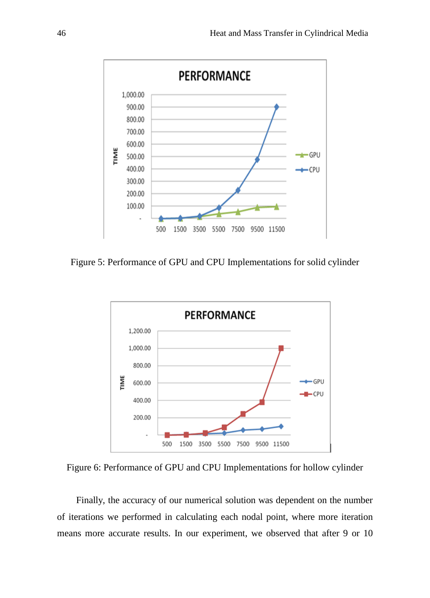

Figure 5: Performance of GPU and CPU Implementations for solid cylinder



Figure 6: Performance of GPU and CPU Implementations for hollow cylinder

Finally, the accuracy of our numerical solution was dependent on the number of iterations we performed in calculating each nodal point, where more iteration means more accurate results. In our experiment, we observed that after 9 or 10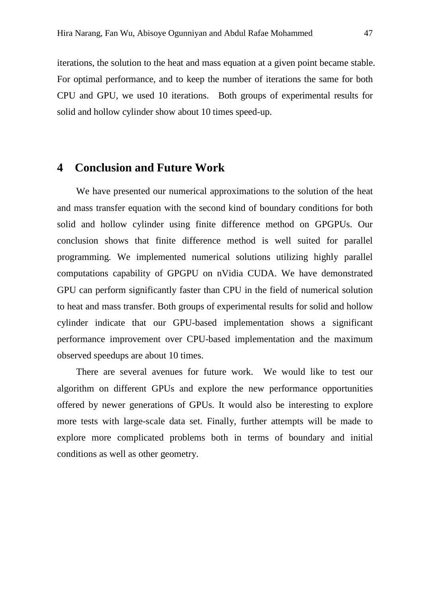iterations, the solution to the heat and mass equation at a given point became stable. For optimal performance, and to keep the number of iterations the same for both CPU and GPU, we used 10 iterations. Both groups of experimental results for solid and hollow cylinder show about 10 times speed-up.

# **4 Conclusion and Future Work**

We have presented our numerical approximations to the solution of the heat and mass transfer equation with the second kind of boundary conditions for both solid and hollow cylinder using finite difference method on GPGPUs. Our conclusion shows that finite difference method is well suited for parallel programming. We implemented numerical solutions utilizing highly parallel computations capability of GPGPU on nVidia CUDA. We have demonstrated GPU can perform significantly faster than CPU in the field of numerical solution to heat and mass transfer. Both groups of experimental results for solid and hollow cylinder indicate that our GPU-based implementation shows a significant performance improvement over CPU-based implementation and the maximum observed speedups are about 10 times.

There are several avenues for future work. We would like to test our algorithm on different GPUs and explore the new performance opportunities offered by newer generations of GPUs. It would also be interesting to explore more tests with large-scale data set. Finally, further attempts will be made to explore more complicated problems both in terms of boundary and initial conditions as well as other geometry.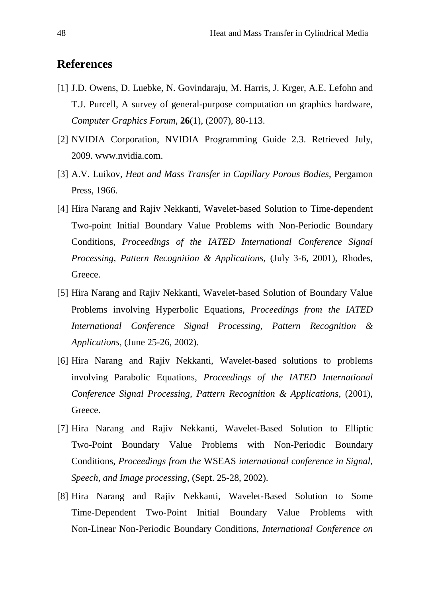# **References**

- [1] J.D. Owens, D. Luebke, N. Govindaraju, M. Harris, J. Krger, A.E. Lefohn and T.J. Purcell, A survey of general-purpose computation on graphics hardware, *Computer Graphics Forum*, **26**(1), (2007), 80-113.
- [2] NVIDIA Corporation, NVIDIA Programming Guide 2.3. Retrieved July, 2009. [www.nvidia.com.](http://www.nvidia.com/)
- [3] A.V. Luikov, *Heat and Mass Transfer in Capillary Porous Bodies*, Pergamon Press, 1966.
- [4] Hira Narang and Rajiv Nekkanti, Wavelet-based Solution to Time-dependent Two-point Initial Boundary Value Problems with Non-Periodic Boundary Conditions, *Proceedings of the IATED International Conference Signal Processing, Pattern Recognition & Applications*, (July 3-6, 2001), Rhodes, Greece.
- [5] Hira Narang and Rajiv Nekkanti, Wavelet-based Solution of Boundary Value Problems involving Hyperbolic Equations, *Proceedings from the IATED International Conference Signal Processing, Pattern Recognition & Applications*, (June 25-26, 2002).
- [6] Hira Narang and Rajiv Nekkanti, Wavelet-based solutions to problems involving Parabolic Equations, *Proceedings of the IATED International Conference Signal Processing, Pattern Recognition & Applications*, (2001), Greece.
- [7] Hira Narang and Rajiv Nekkanti, Wavelet-Based Solution to Elliptic Two-Point Boundary Value Problems with Non-Periodic Boundary Conditions, *Proceedings from the* WSEAS *international conference in Signal, Speech, and Image processing*, (Sept. 25-28, 2002).
- [8] Hira Narang and Rajiv Nekkanti, Wavelet-Based Solution to Some Time-Dependent Two-Point Initial Boundary Value Problems with Non-Linear Non-Periodic Boundary Conditions, *International Conference on*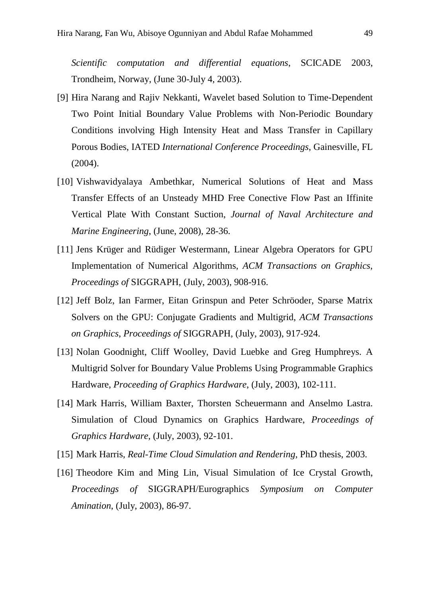*Scientific computation and differential equations*, SCICADE 2003, Trondheim, Norway, (June 30-July 4, 2003).

- [9] Hira Narang and Rajiv Nekkanti, Wavelet based Solution to Time-Dependent Two Point Initial Boundary Value Problems with Non-Periodic Boundary Conditions involving High Intensity Heat and Mass Transfer in Capillary Porous Bodies, IATED *International Conference Proceedings*, Gainesville, FL (2004).
- [10] Vishwavidyalaya Ambethkar, Numerical Solutions of Heat and Mass Transfer Effects of an Unsteady MHD Free Conective Flow Past an Iffinite Vertical Plate With Constant Suction, *Journal of Naval Architecture and Marine Engineering*, (June, 2008), 28-36.
- [11] Jens Krüger and Rüdiger Westermann, Linear Algebra Operators for GPU Implementation of Numerical Algorithms, *ACM Transactions on Graphics, Proceedings of* SIGGRAPH, (July, 2003), 908-916.
- [12] Jeff Bolz, Ian Farmer, Eitan Grinspun and Peter Schröoder, Sparse Matrix Solvers on the GPU: Conjugate Gradients and Multigrid, *ACM Transactions on Graphics*, *Proceedings of* SIGGRAPH, (July, 2003), 917-924.
- [13] Nolan Goodnight, Cliff Woolley, David Luebke and Greg Humphreys. A Multigrid Solver for Boundary Value Problems Using Programmable Graphics Hardware, *Proceeding of Graphics Hardware*, (July, 2003), 102-111.
- [14] Mark Harris, William Baxter, Thorsten Scheuermann and Anselmo Lastra. Simulation of Cloud Dynamics on Graphics Hardware, *Proceedings of Graphics Hardware*, (July, 2003), 92-101.
- [15] Mark Harris, *Real-Time Cloud Simulation and Rendering*, PhD thesis, 2003.
- [16] Theodore Kim and Ming Lin, Visual Simulation of Ice Crystal Growth, *Proceedings of* SIGGRAPH/Eurographics *Symposium on Computer Amination*, (July, 2003), 86-97.